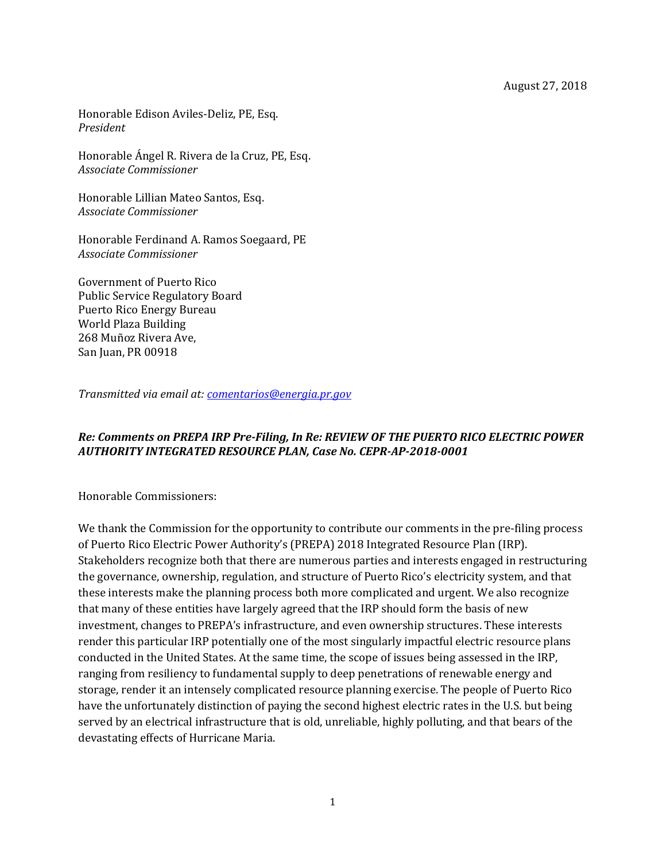Honorable Edison Aviles-Deliz, PE, Esq. *President*

Honorable Ángel R. Rivera de la Cruz, PE, Esq. *Associate Commissioner*

Honorable Lillian Mateo Santos, Esq. *Associate Commissioner*

Honorable Ferdinand A. Ramos Soegaard, PE *Associate Commissioner*

Government of Puerto Rico Public Service Regulatory Board Puerto Rico Energy Bureau World Plaza Building 268 Muñoz Rivera Ave, San Juan, PR 00918

*Transmitted via email at: [comentarios@energia.pr.gov](mailto:comentarios@energia.pr.gov)*

#### *Re: Comments on PREPA IRP Pre-Filing, In Re: REVIEW OF THE PUERTO RICO ELECTRIC POWER AUTHORITY INTEGRATED RESOURCE PLAN, Case No. CEPR-AP-2018-0001*

Honorable Commissioners:

We thank the Commission for the opportunity to contribute our comments in the pre-filing process of Puerto Rico Electric Power Authority's (PREPA) 2018 Integrated Resource Plan (IRP). Stakeholders recognize both that there are numerous parties and interests engaged in restructuring the governance, ownership, regulation, and structure of Puerto Rico's electricity system, and that these interests make the planning process both more complicated and urgent. We also recognize that many of these entities have largely agreed that the IRP should form the basis of new investment, changes to PREPA's infrastructure, and even ownership structures. These interests render this particular IRP potentially one of the most singularly impactful electric resource plans conducted in the United States. At the same time, the scope of issues being assessed in the IRP, ranging from resiliency to fundamental supply to deep penetrations of renewable energy and storage, render it an intensely complicated resource planning exercise. The people of Puerto Rico have the unfortunately distinction of paying the second highest electric rates in the U.S. but being served by an electrical infrastructure that is old, unreliable, highly polluting, and that bears of the devastating effects of Hurricane Maria.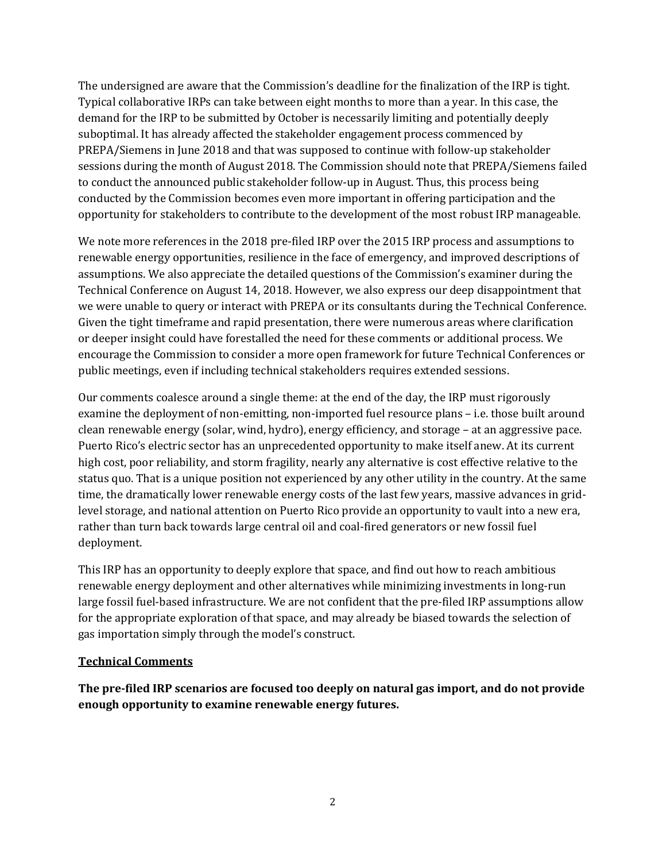The undersigned are aware that the Commission's deadline for the finalization of the IRP is tight. Typical collaborative IRPs can take between eight months to more than a year. In this case, the demand for the IRP to be submitted by October is necessarily limiting and potentially deeply suboptimal. It has already affected the stakeholder engagement process commenced by PREPA/Siemens in June 2018 and that was supposed to continue with follow-up stakeholder sessions during the month of August 2018. The Commission should note that PREPA/Siemens failed to conduct the announced public stakeholder follow-up in August. Thus, this process being conducted by the Commission becomes even more important in offering participation and the opportunity for stakeholders to contribute to the development of the most robust IRP manageable.

We note more references in the 2018 pre-filed IRP over the 2015 IRP process and assumptions to renewable energy opportunities, resilience in the face of emergency, and improved descriptions of assumptions. We also appreciate the detailed questions of the Commission's examiner during the Technical Conference on August 14, 2018. However, we also express our deep disappointment that we were unable to query or interact with PREPA or its consultants during the Technical Conference. Given the tight timeframe and rapid presentation, there were numerous areas where clarification or deeper insight could have forestalled the need for these comments or additional process. We encourage the Commission to consider a more open framework for future Technical Conferences or public meetings, even if including technical stakeholders requires extended sessions.

Our comments coalesce around a single theme: at the end of the day, the IRP must rigorously examine the deployment of non-emitting, non-imported fuel resource plans – i.e. those built around clean renewable energy (solar, wind, hydro), energy efficiency, and storage – at an aggressive pace. Puerto Rico's electric sector has an unprecedented opportunity to make itself anew. At its current high cost, poor reliability, and storm fragility, nearly any alternative is cost effective relative to the status quo. That is a unique position not experienced by any other utility in the country. At the same time, the dramatically lower renewable energy costs of the last few years, massive advances in gridlevel storage, and national attention on Puerto Rico provide an opportunity to vault into a new era, rather than turn back towards large central oil and coal-fired generators or new fossil fuel deployment.

This IRP has an opportunity to deeply explore that space, and find out how to reach ambitious renewable energy deployment and other alternatives while minimizing investments in long-run large fossil fuel-based infrastructure. We are not confident that the pre-filed IRP assumptions allow for the appropriate exploration of that space, and may already be biased towards the selection of gas importation simply through the model's construct.

#### **Technical Comments**

**The pre-filed IRP scenarios are focused too deeply on natural gas import, and do not provide enough opportunity to examine renewable energy futures.**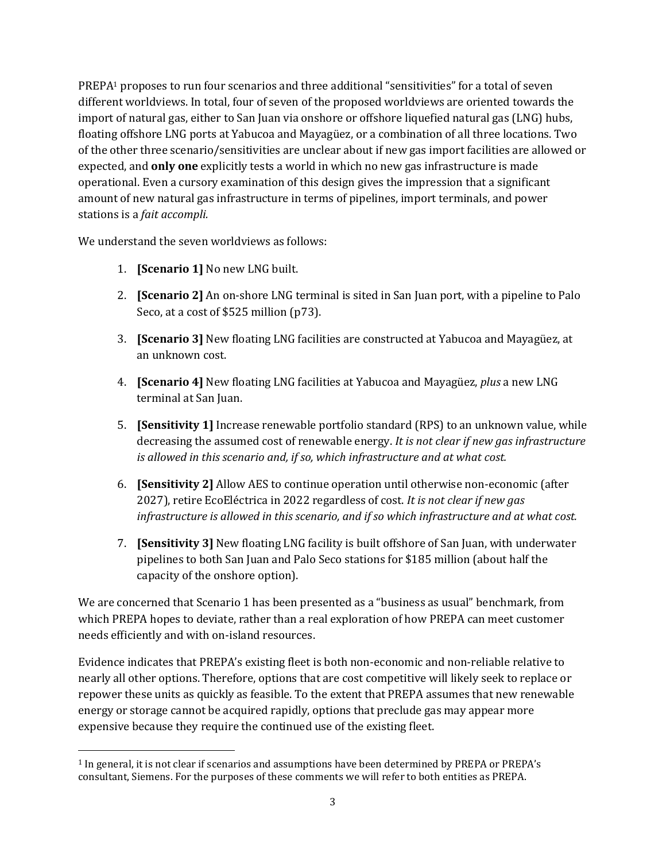PREPA<sup>1</sup> proposes to run four scenarios and three additional "sensitivities" for a total of seven different worldviews. In total, four of seven of the proposed worldviews are oriented towards the import of natural gas, either to San Juan via onshore or offshore liquefied natural gas (LNG) hubs, floating offshore LNG ports at Yabucoa and Mayagüez, or a combination of all three locations. Two of the other three scenario/sensitivities are unclear about if new gas import facilities are allowed or expected, and **only one** explicitly tests a world in which no new gas infrastructure is made operational. Even a cursory examination of this design gives the impression that a significant amount of new natural gas infrastructure in terms of pipelines, import terminals, and power stations is a *fait accompli.*

We understand the seven worldviews as follows:

1. **[Scenario 1]** No new LNG built.

- 2. **[Scenario 2]** An on-shore LNG terminal is sited in San Juan port, with a pipeline to Palo Seco, at a cost of \$525 million (p73).
- 3. **[Scenario 3]** New floating LNG facilities are constructed at Yabucoa and Mayagüez, at an unknown cost.
- 4. **[Scenario 4]** New floating LNG facilities at Yabucoa and Mayagüez, *plus* a new LNG terminal at San Juan.
- 5. **[Sensitivity 1]** Increase renewable portfolio standard (RPS) to an unknown value, while decreasing the assumed cost of renewable energy. *It is not clear if new gas infrastructure is allowed in this scenario and, if so, which infrastructure and at what cost.*
- 6. **[Sensitivity 2]** Allow AES to continue operation until otherwise non-economic (after 2027), retire EcoEléctrica in 2022 regardless of cost. *It is not clear if new gas infrastructure is allowed in this scenario, and if so which infrastructure and at what cost.*
- 7. **[Sensitivity 3]** New floating LNG facility is built offshore of San Juan, with underwater pipelines to both San Juan and Palo Seco stations for \$185 million (about half the capacity of the onshore option).

We are concerned that Scenario 1 has been presented as a "business as usual" benchmark, from which PREPA hopes to deviate, rather than a real exploration of how PREPA can meet customer needs efficiently and with on-island resources.

Evidence indicates that PREPA's existing fleet is both non-economic and non-reliable relative to nearly all other options. Therefore, options that are cost competitive will likely seek to replace or repower these units as quickly as feasible. To the extent that PREPA assumes that new renewable energy or storage cannot be acquired rapidly, options that preclude gas may appear more expensive because they require the continued use of the existing fleet.

<sup>1</sup> In general, it is not clear if scenarios and assumptions have been determined by PREPA or PREPA's consultant, Siemens. For the purposes of these comments we will refer to both entities as PREPA.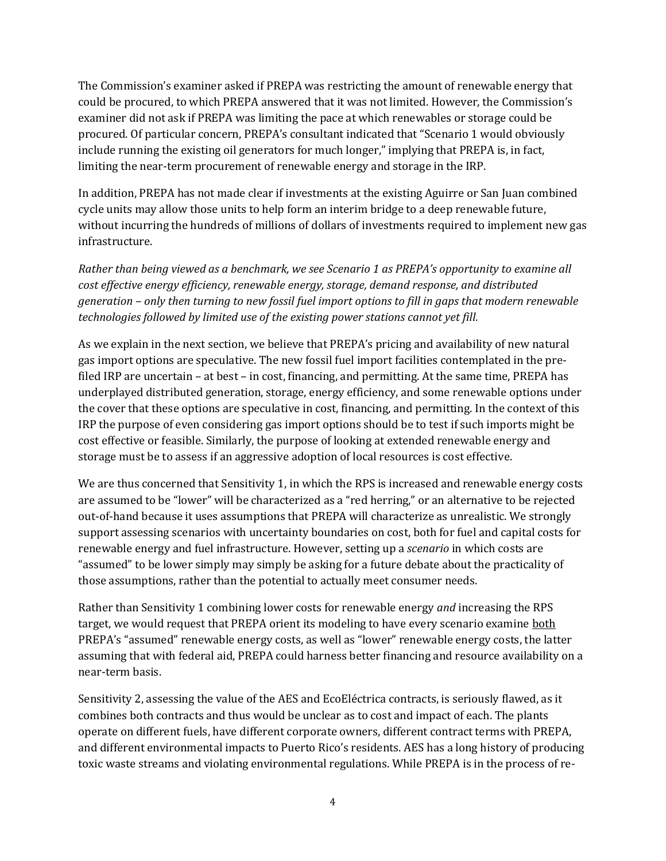The Commission's examiner asked if PREPA was restricting the amount of renewable energy that could be procured, to which PREPA answered that it was not limited. However, the Commission's examiner did not ask if PREPA was limiting the pace at which renewables or storage could be procured. Of particular concern, PREPA's consultant indicated that "Scenario 1 would obviously include running the existing oil generators for much longer," implying that PREPA is, in fact, limiting the near-term procurement of renewable energy and storage in the IRP.

In addition, PREPA has not made clear if investments at the existing Aguirre or San Juan combined cycle units may allow those units to help form an interim bridge to a deep renewable future, without incurring the hundreds of millions of dollars of investments required to implement new gas infrastructure.

*Rather than being viewed as a benchmark, we see Scenario 1 as PREPA's opportunity to examine all cost effective energy efficiency, renewable energy, storage, demand response, and distributed generation – only then turning to new fossil fuel import options to fill in gaps that modern renewable technologies followed by limited use of the existing power stations cannot yet fill.*

As we explain in the next section, we believe that PREPA's pricing and availability of new natural gas import options are speculative. The new fossil fuel import facilities contemplated in the prefiled IRP are uncertain – at best – in cost, financing, and permitting. At the same time, PREPA has underplayed distributed generation, storage, energy efficiency, and some renewable options under the cover that these options are speculative in cost, financing, and permitting. In the context of this IRP the purpose of even considering gas import options should be to test if such imports might be cost effective or feasible. Similarly, the purpose of looking at extended renewable energy and storage must be to assess if an aggressive adoption of local resources is cost effective.

We are thus concerned that Sensitivity 1, in which the RPS is increased and renewable energy costs are assumed to be "lower" will be characterized as a "red herring," or an alternative to be rejected out-of-hand because it uses assumptions that PREPA will characterize as unrealistic. We strongly support assessing scenarios with uncertainty boundaries on cost, both for fuel and capital costs for renewable energy and fuel infrastructure. However, setting up a *scenario* in which costs are "assumed" to be lower simply may simply be asking for a future debate about the practicality of those assumptions, rather than the potential to actually meet consumer needs.

Rather than Sensitivity 1 combining lower costs for renewable energy *and* increasing the RPS target, we would request that PREPA orient its modeling to have every scenario examine both PREPA's "assumed" renewable energy costs, as well as "lower" renewable energy costs, the latter assuming that with federal aid, PREPA could harness better financing and resource availability on a near-term basis.

Sensitivity 2, assessing the value of the AES and EcoEléctrica contracts, is seriously flawed, as it combines both contracts and thus would be unclear as to cost and impact of each. The plants operate on different fuels, have different corporate owners, different contract terms with PREPA, and different environmental impacts to Puerto Rico's residents. AES has a long history of producing toxic waste streams and violating environmental regulations. While PREPA is in the process of re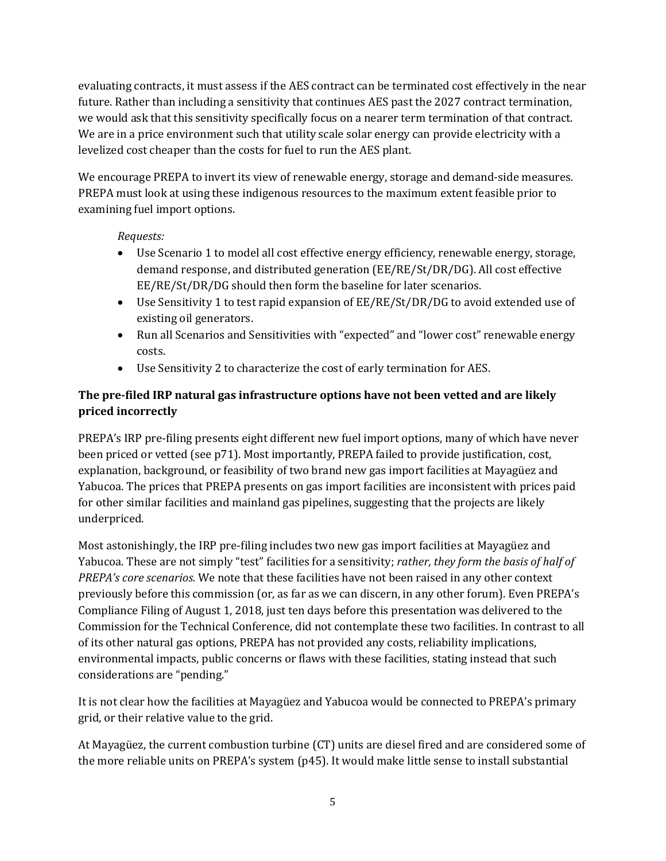evaluating contracts, it must assess if the AES contract can be terminated cost effectively in the near future. Rather than including a sensitivity that continues AES past the 2027 contract termination, we would ask that this sensitivity specifically focus on a nearer term termination of that contract. We are in a price environment such that utility scale solar energy can provide electricity with a levelized cost cheaper than the costs for fuel to run the AES plant.

We encourage PREPA to invert its view of renewable energy, storage and demand-side measures. PREPA must look at using these indigenous resources to the maximum extent feasible prior to examining fuel import options.

### *Requests:*

- Use Scenario 1 to model all cost effective energy efficiency, renewable energy, storage, demand response, and distributed generation (EE/RE/St/DR/DG). All cost effective EE/RE/St/DR/DG should then form the baseline for later scenarios.
- Use Sensitivity 1 to test rapid expansion of EE/RE/St/DR/DG to avoid extended use of existing oil generators.
- Run all Scenarios and Sensitivities with "expected" and "lower cost" renewable energy costs.
- Use Sensitivity 2 to characterize the cost of early termination for AES.

### **The pre-filed IRP natural gas infrastructure options have not been vetted and are likely priced incorrectly**

PREPA's IRP pre-filing presents eight different new fuel import options, many of which have never been priced or vetted (see p71). Most importantly, PREPA failed to provide justification, cost, explanation, background, or feasibility of two brand new gas import facilities at Mayagüez and Yabucoa. The prices that PREPA presents on gas import facilities are inconsistent with prices paid for other similar facilities and mainland gas pipelines, suggesting that the projects are likely underpriced.

Most astonishingly, the IRP pre-filing includes two new gas import facilities at Mayagüez and Yabucoa. These are not simply "test" facilities for a sensitivity; *rather, they form the basis of half of PREPA's core scenarios.* We note that these facilities have not been raised in any other context previously before this commission (or, as far as we can discern, in any other forum). Even PREPA's Compliance Filing of August 1, 2018, just ten days before this presentation was delivered to the Commission for the Technical Conference, did not contemplate these two facilities. In contrast to all of its other natural gas options, PREPA has not provided any costs, reliability implications, environmental impacts, public concerns or flaws with these facilities, stating instead that such considerations are "pending."

It is not clear how the facilities at Mayagüez and Yabucoa would be connected to PREPA's primary grid, or their relative value to the grid.

At Mayagüez, the current combustion turbine (CT) units are diesel fired and are considered some of the more reliable units on PREPA's system (p45). It would make little sense to install substantial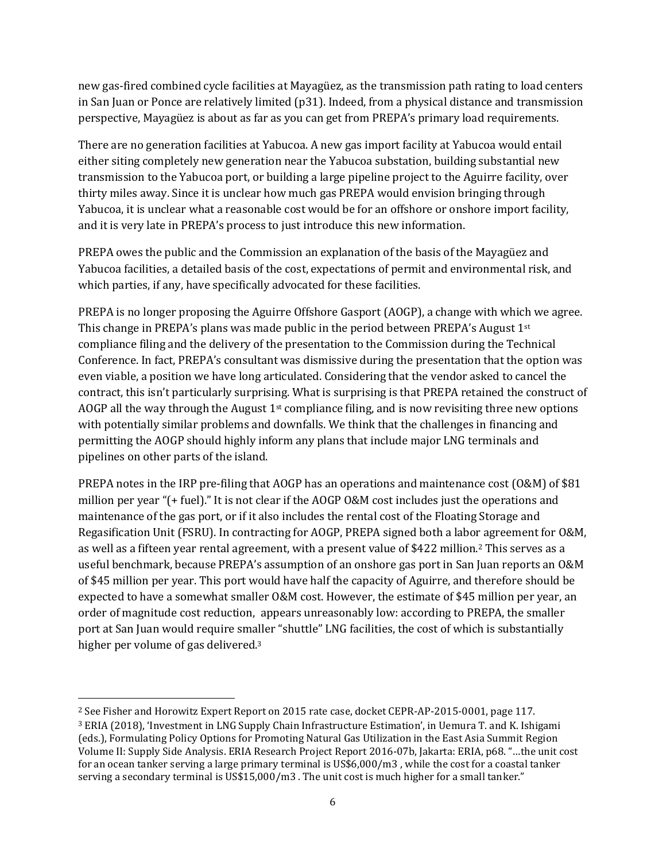new gas-fired combined cycle facilities at Mayagüez, as the transmission path rating to load centers in San Juan or Ponce are relatively limited (p31). Indeed, from a physical distance and transmission perspective, Mayagüez is about as far as you can get from PREPA's primary load requirements.

There are no generation facilities at Yabucoa. A new gas import facility at Yabucoa would entail either siting completely new generation near the Yabucoa substation, building substantial new transmission to the Yabucoa port, or building a large pipeline project to the Aguirre facility, over thirty miles away. Since it is unclear how much gas PREPA would envision bringing through Yabucoa, it is unclear what a reasonable cost would be for an offshore or onshore import facility, and it is very late in PREPA's process to just introduce this new information.

PREPA owes the public and the Commission an explanation of the basis of the Mayagüez and Yabucoa facilities, a detailed basis of the cost, expectations of permit and environmental risk, and which parties, if any, have specifically advocated for these facilities.

PREPA is no longer proposing the Aguirre Offshore Gasport (AOGP), a change with which we agree. This change in PREPA's plans was made public in the period between PREPA's August  $1<sup>st</sup>$ compliance filing and the delivery of the presentation to the Commission during the Technical Conference. In fact, PREPA's consultant was dismissive during the presentation that the option was even viable, a position we have long articulated. Considering that the vendor asked to cancel the contract, this isn't particularly surprising. What is surprising is that PREPA retained the construct of AOGP all the way through the August  $1<sup>st</sup>$  compliance filing, and is now revisiting three new options with potentially similar problems and downfalls. We think that the challenges in financing and permitting the AOGP should highly inform any plans that include major LNG terminals and pipelines on other parts of the island.

PREPA notes in the IRP pre-filing that AOGP has an operations and maintenance cost (O&M) of \$81 million per year "(+ fuel)." It is not clear if the AOGP O&M cost includes just the operations and maintenance of the gas port, or if it also includes the rental cost of the Floating Storage and Regasification Unit (FSRU). In contracting for AOGP, PREPA signed both a labor agreement for O&M, as well as a fifteen year rental agreement, with a present value of \$422 million.<sup>2</sup> This serves as a useful benchmark, because PREPA's assumption of an onshore gas port in San Juan reports an O&M of \$45 million per year. This port would have half the capacity of Aguirre, and therefore should be expected to have a somewhat smaller O&M cost. However, the estimate of \$45 million per year, an order of magnitude cost reduction, appears unreasonably low: according to PREPA, the smaller port at San Juan would require smaller "shuttle" LNG facilities, the cost of which is substantially higher per volume of gas delivered.<sup>3</sup>

<sup>2</sup> See Fisher and Horowitz Expert Report on 2015 rate case, docket CEPR-AP-2015-0001, page 117. <sup>3</sup> ERIA (2018), 'Investment in LNG Supply Chain Infrastructure Estimation', in Uemura T. and K. Ishigami (eds.), Formulating Policy Options for Promoting Natural Gas Utilization in the East Asia Summit Region Volume II: Supply Side Analysis. ERIA Research Project Report 2016-07b, Jakarta: ERIA, p68. "…the unit cost for an ocean tanker serving a large primary terminal is US\$6,000/m3 , while the cost for a coastal tanker serving a secondary terminal is US\$15,000/m3 . The unit cost is much higher for a small tanker."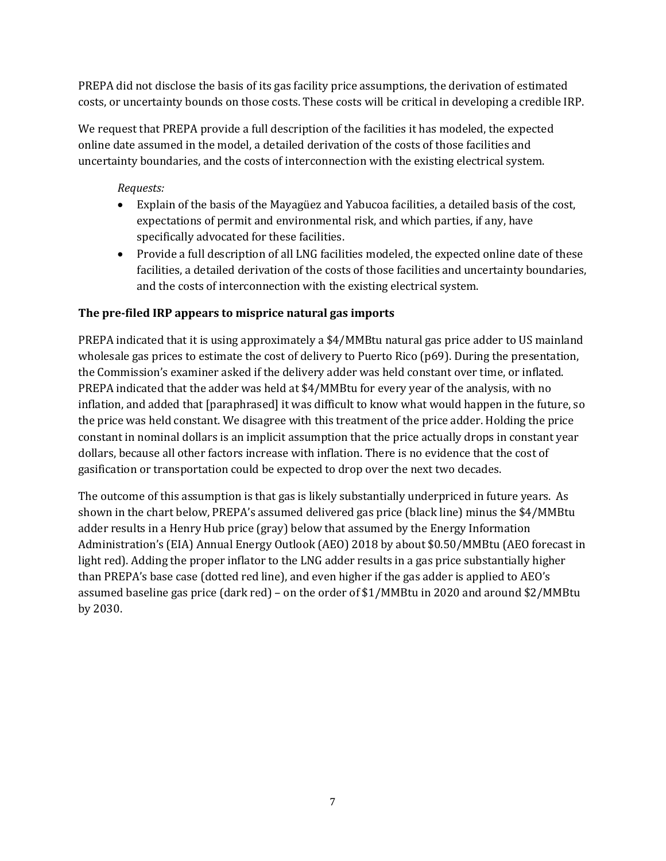PREPA did not disclose the basis of its gas facility price assumptions, the derivation of estimated costs, or uncertainty bounds on those costs. These costs will be critical in developing a credible IRP.

We request that PREPA provide a full description of the facilities it has modeled, the expected online date assumed in the model, a detailed derivation of the costs of those facilities and uncertainty boundaries, and the costs of interconnection with the existing electrical system.

*Requests:*

- Explain of the basis of the Mayagüez and Yabucoa facilities, a detailed basis of the cost, expectations of permit and environmental risk, and which parties, if any, have specifically advocated for these facilities.
- Provide a full description of all LNG facilities modeled, the expected online date of these facilities, a detailed derivation of the costs of those facilities and uncertainty boundaries, and the costs of interconnection with the existing electrical system.

# **The pre-filed IRP appears to misprice natural gas imports**

PREPA indicated that it is using approximately a \$4/MMBtu natural gas price adder to US mainland wholesale gas prices to estimate the cost of delivery to Puerto Rico (p69). During the presentation, the Commission's examiner asked if the delivery adder was held constant over time, or inflated. PREPA indicated that the adder was held at \$4/MMBtu for every year of the analysis, with no inflation, and added that [paraphrased] it was difficult to know what would happen in the future, so the price was held constant. We disagree with this treatment of the price adder. Holding the price constant in nominal dollars is an implicit assumption that the price actually drops in constant year dollars, because all other factors increase with inflation. There is no evidence that the cost of gasification or transportation could be expected to drop over the next two decades.

The outcome of this assumption is that gas is likely substantially underpriced in future years. As shown in the chart below, PREPA's assumed delivered gas price (black line) minus the \$4/MMBtu adder results in a Henry Hub price (gray) below that assumed by the Energy Information Administration's (EIA) Annual Energy Outlook (AEO) 2018 by about \$0.50/MMBtu (AEO forecast in light red). Adding the proper inflator to the LNG adder results in a gas price substantially higher than PREPA's base case (dotted red line), and even higher if the gas adder is applied to AEO's assumed baseline gas price (dark red) – on the order of \$1/MMBtu in 2020 and around \$2/MMBtu by 2030.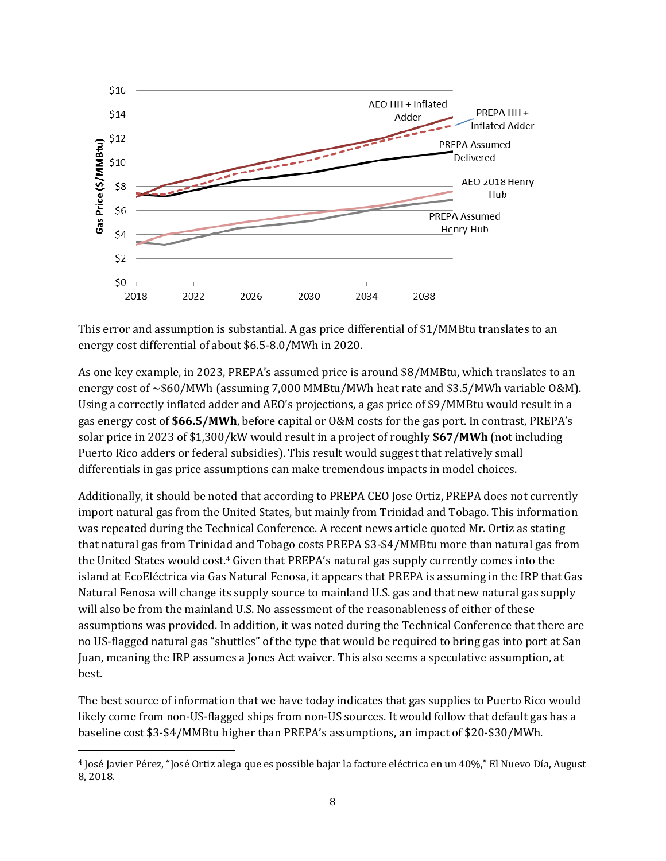

This error and assumption is substantial. A gas price differential of \$1/MMBtu translates to an energy cost differential of about \$6.5-8.0/MWh in 2020.

As one key example, in 2023, PREPA's assumed price is around \$8/MMBtu, which translates to an energy cost of ~\$60/MWh (assuming 7,000 MMBtu/MWh heat rate and \$3.5/MWh variable O&M). Using a correctly inflated adder and AEO's projections, a gas price of \$9/MMBtu would result in a gas energy cost of **\$66.5/MWh**, before capital or O&M costs for the gas port. In contrast, PREPA's solar price in 2023 of \$1,300/kW would result in a project of roughly **\$67/MWh** (not including Puerto Rico adders or federal subsidies). This result would suggest that relatively small differentials in gas price assumptions can make tremendous impacts in model choices.

Additionally, it should be noted that according to PREPA CEO Jose Ortiz, PREPA does not currently import natural gas from the United States, but mainly from Trinidad and Tobago. This information was repeated during the Technical Conference. A recent news article quoted Mr. Ortiz as stating that natural gas from Trinidad and Tobago costs PREPA \$3-\$4/MMBtu more than natural gas from the United States would cost.<sup>4</sup> Given that PREPA's natural gas supply currently comes into the island at EcoEléctrica via Gas Natural Fenosa, it appears that PREPA is assuming in the IRP that Gas Natural Fenosa will change its supply source to mainland U.S. gas and that new natural gas supply will also be from the mainland U.S. No assessment of the reasonableness of either of these assumptions was provided. In addition, it was noted during the Technical Conference that there are no US-flagged natural gas "shuttles" of the type that would be required to bring gas into port at San Juan, meaning the IRP assumes a Jones Act waiver. This also seems a speculative assumption, at best.

The best source of information that we have today indicates that gas supplies to Puerto Rico would likely come from non-US-flagged ships from non-US sources. It would follow that default gas has a baseline cost \$3-\$4/MMBtu higher than PREPA's assumptions, an impact of \$20-\$30/MWh.

<sup>4</sup> José Javier Pérez, "José Ortiz alega que es possible bajar la facture eléctrica en un 40%," El Nuevo Día, August 8, 2018.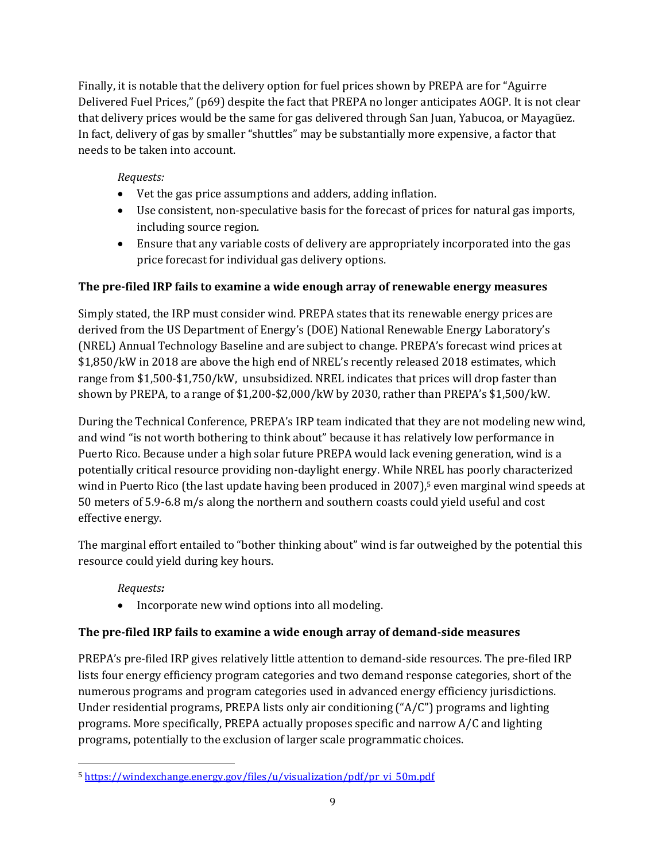Finally, it is notable that the delivery option for fuel prices shown by PREPA are for "Aguirre Delivered Fuel Prices," (p69) despite the fact that PREPA no longer anticipates AOGP. It is not clear that delivery prices would be the same for gas delivered through San Juan, Yabucoa, or Mayagüez. In fact, delivery of gas by smaller "shuttles" may be substantially more expensive, a factor that needs to be taken into account.

# *Requests:*

- Vet the gas price assumptions and adders, adding inflation.
- Use consistent, non-speculative basis for the forecast of prices for natural gas imports, including source region.
- Ensure that any variable costs of delivery are appropriately incorporated into the gas price forecast for individual gas delivery options.

### **The pre-filed IRP fails to examine a wide enough array of renewable energy measures**

Simply stated, the IRP must consider wind. PREPA states that its renewable energy prices are derived from the US Department of Energy's (DOE) National Renewable Energy Laboratory's (NREL) Annual Technology Baseline and are subject to change. PREPA's forecast wind prices at \$1,850/kW in 2018 are above the high end of NREL's recently released 2018 estimates, which range from \$1,500-\$1,750/kW, unsubsidized. NREL indicates that prices will drop faster than shown by PREPA, to a range of \$1,200-\$2,000/kW by 2030, rather than PREPA's \$1,500/kW.

During the Technical Conference, PREPA's IRP team indicated that they are not modeling new wind, and wind "is not worth bothering to think about" because it has relatively low performance in Puerto Rico. Because under a high solar future PREPA would lack evening generation, wind is a potentially critical resource providing non-daylight energy. While NREL has poorly characterized wind in Puerto Rico (the last update having been produced in 2007),<sup>5</sup> even marginal wind speeds at 50 meters of 5.9-6.8 m/s along the northern and southern coasts could yield useful and cost effective energy.

The marginal effort entailed to "bother thinking about" wind is far outweighed by the potential this resource could yield during key hours.

# *Requests:*

• Incorporate new wind options into all modeling.

### **The pre-filed IRP fails to examine a wide enough array of demand-side measures**

PREPA's pre-filed IRP gives relatively little attention to demand-side resources. The pre-filed IRP lists four energy efficiency program categories and two demand response categories, short of the numerous programs and program categories used in advanced energy efficiency jurisdictions. Under residential programs, PREPA lists only air conditioning ("A/C") programs and lighting programs. More specifically, PREPA actually proposes specific and narrow A/C and lighting programs, potentially to the exclusion of larger scale programmatic choices.

<sup>5</sup> [https://windexchange.energy.gov/files/u/visualization/pdf/pr\\_vi\\_50m.pdf](https://windexchange.energy.gov/files/u/visualization/pdf/pr_vi_50m.pdf)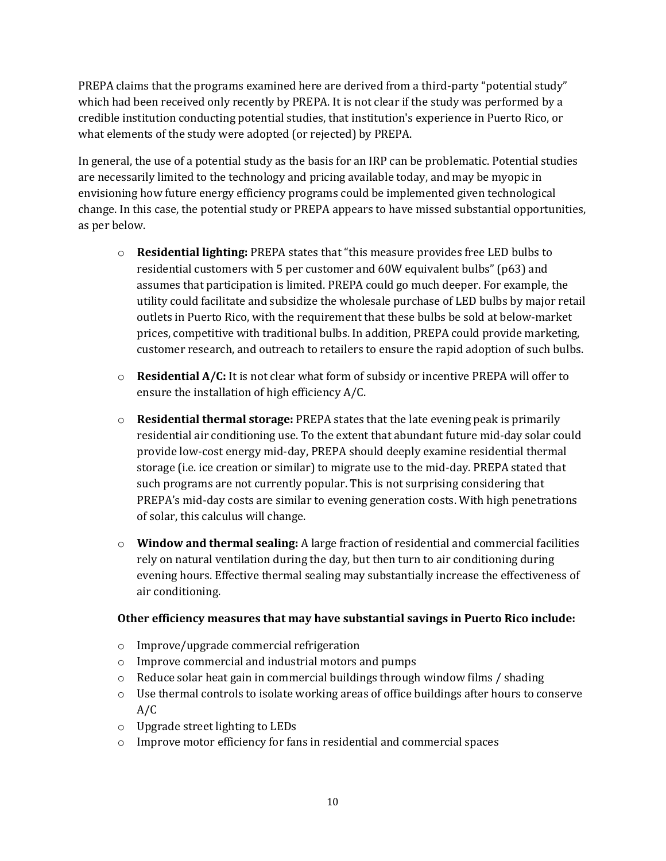PREPA claims that the programs examined here are derived from a third-party "potential study" which had been received only recently by PREPA. It is not clear if the study was performed by a credible institution conducting potential studies, that institution's experience in Puerto Rico, or what elements of the study were adopted (or rejected) by PREPA.

In general, the use of a potential study as the basis for an IRP can be problematic. Potential studies are necessarily limited to the technology and pricing available today, and may be myopic in envisioning how future energy efficiency programs could be implemented given technological change. In this case, the potential study or PREPA appears to have missed substantial opportunities, as per below.

- o **Residential lighting:** PREPA states that "this measure provides free LED bulbs to residential customers with 5 per customer and 60W equivalent bulbs" (p63) and assumes that participation is limited. PREPA could go much deeper. For example, the utility could facilitate and subsidize the wholesale purchase of LED bulbs by major retail outlets in Puerto Rico, with the requirement that these bulbs be sold at below-market prices, competitive with traditional bulbs. In addition, PREPA could provide marketing, customer research, and outreach to retailers to ensure the rapid adoption of such bulbs.
- o **Residential A/C:** It is not clear what form of subsidy or incentive PREPA will offer to ensure the installation of high efficiency A/C.
- o **Residential thermal storage:** PREPA states that the late evening peak is primarily residential air conditioning use. To the extent that abundant future mid-day solar could provide low-cost energy mid-day, PREPA should deeply examine residential thermal storage (i.e. ice creation or similar) to migrate use to the mid-day. PREPA stated that such programs are not currently popular. This is not surprising considering that PREPA's mid-day costs are similar to evening generation costs. With high penetrations of solar, this calculus will change.
- o **Window and thermal sealing:** A large fraction of residential and commercial facilities rely on natural ventilation during the day, but then turn to air conditioning during evening hours. Effective thermal sealing may substantially increase the effectiveness of air conditioning.

### **Other efficiency measures that may have substantial savings in Puerto Rico include:**

- o Improve/upgrade commercial refrigeration
- o Improve commercial and industrial motors and pumps
- $\circ$  Reduce solar heat gain in commercial buildings through window films / shading
- o Use thermal controls to isolate working areas of office buildings after hours to conserve A/C
- o Upgrade street lighting to LEDs
- o Improve motor efficiency for fans in residential and commercial spaces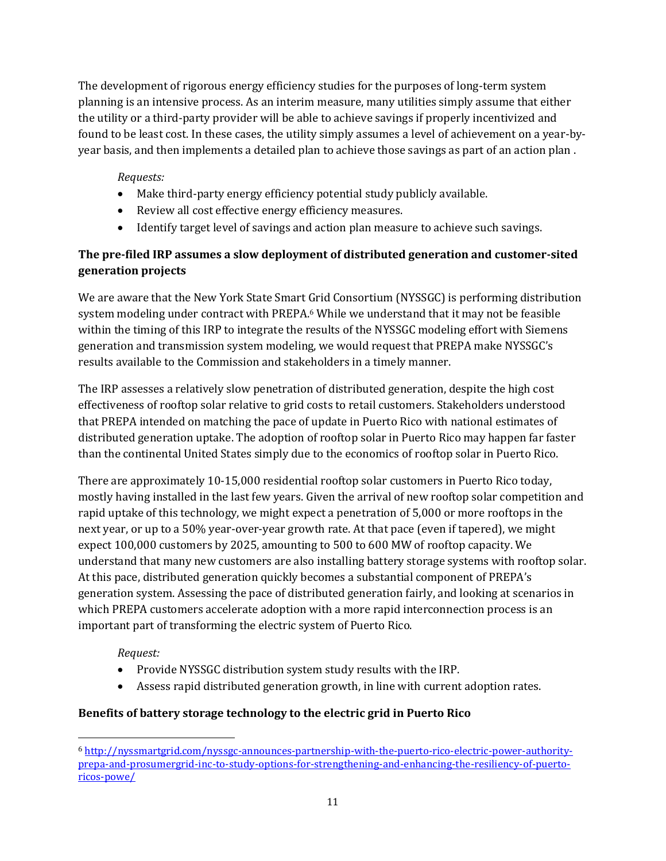The development of rigorous energy efficiency studies for the purposes of long-term system planning is an intensive process. As an interim measure, many utilities simply assume that either the utility or a third-party provider will be able to achieve savings if properly incentivized and found to be least cost. In these cases, the utility simply assumes a level of achievement on a year-byyear basis, and then implements a detailed plan to achieve those savings as part of an action plan .

### *Requests:*

- Make third-party energy efficiency potential study publicly available.
- Review all cost effective energy efficiency measures.
- Identify target level of savings and action plan measure to achieve such savings.

# **The pre-filed IRP assumes a slow deployment of distributed generation and customer-sited generation projects**

We are aware that the New York State Smart Grid Consortium (NYSSGC) is performing distribution system modeling under contract with PREPA.<sup>6</sup> While we understand that it may not be feasible within the timing of this IRP to integrate the results of the NYSSGC modeling effort with Siemens generation and transmission system modeling, we would request that PREPA make NYSSGC's results available to the Commission and stakeholders in a timely manner.

The IRP assesses a relatively slow penetration of distributed generation, despite the high cost effectiveness of rooftop solar relative to grid costs to retail customers. Stakeholders understood that PREPA intended on matching the pace of update in Puerto Rico with national estimates of distributed generation uptake. The adoption of rooftop solar in Puerto Rico may happen far faster than the continental United States simply due to the economics of rooftop solar in Puerto Rico.

There are approximately 10-15,000 residential rooftop solar customers in Puerto Rico today, mostly having installed in the last few years. Given the arrival of new rooftop solar competition and rapid uptake of this technology, we might expect a penetration of 5,000 or more rooftops in the next year, or up to a 50% year-over-year growth rate. At that pace (even if tapered), we might expect 100,000 customers by 2025, amounting to 500 to 600 MW of rooftop capacity. We understand that many new customers are also installing battery storage systems with rooftop solar. At this pace, distributed generation quickly becomes a substantial component of PREPA's generation system. Assessing the pace of distributed generation fairly, and looking at scenarios in which PREPA customers accelerate adoption with a more rapid interconnection process is an important part of transforming the electric system of Puerto Rico.

*Request:*

- Provide NYSSGC distribution system study results with the IRP.
- Assess rapid distributed generation growth, in line with current adoption rates.

### **Benefits of battery storage technology to the electric grid in Puerto Rico**

<sup>6</sup> [http://nyssmartgrid.com/nyssgc-announces-partnership-with-the-puerto-rico-electric-power-authority](http://nyssmartgrid.com/nyssgc-announces-partnership-with-the-puerto-rico-electric-power-authority-prepa-and-prosumergrid-inc-to-study-options-for-strengthening-and-enhancing-the-resiliency-of-puerto-ricos-powe/)[prepa-and-prosumergrid-inc-to-study-options-for-strengthening-and-enhancing-the-resiliency-of-puerto](http://nyssmartgrid.com/nyssgc-announces-partnership-with-the-puerto-rico-electric-power-authority-prepa-and-prosumergrid-inc-to-study-options-for-strengthening-and-enhancing-the-resiliency-of-puerto-ricos-powe/)[ricos-powe/](http://nyssmartgrid.com/nyssgc-announces-partnership-with-the-puerto-rico-electric-power-authority-prepa-and-prosumergrid-inc-to-study-options-for-strengthening-and-enhancing-the-resiliency-of-puerto-ricos-powe/)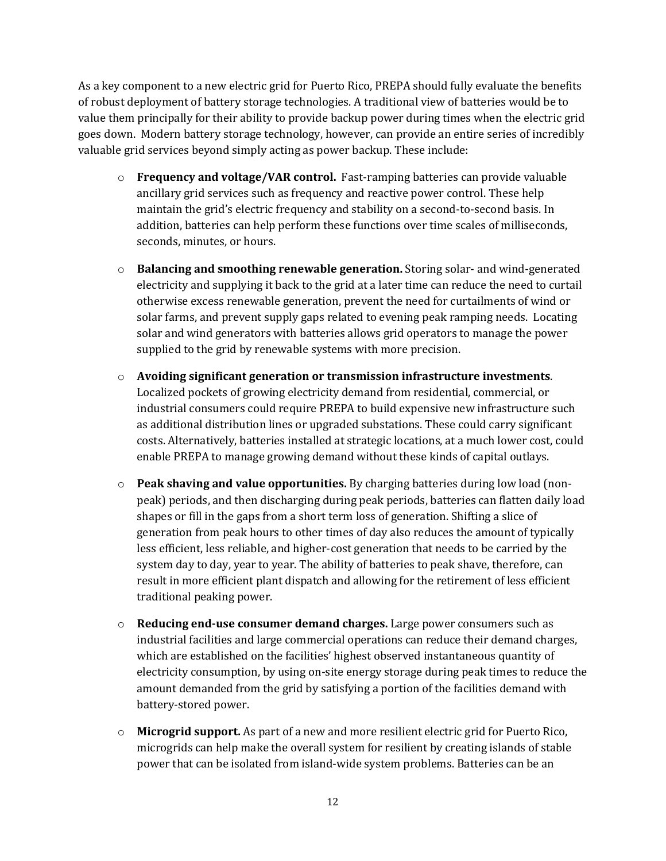As a key component to a new electric grid for Puerto Rico, PREPA should fully evaluate the benefits of robust deployment of battery storage technologies. A traditional view of batteries would be to value them principally for their ability to provide backup power during times when the electric grid goes down. Modern battery storage technology, however, can provide an entire series of incredibly valuable grid services beyond simply acting as power backup. These include:

- o **Frequency and voltage/VAR control.** Fast-ramping batteries can provide valuable ancillary grid services such as frequency and reactive power control. These help maintain the grid's electric frequency and stability on a second-to-second basis. In addition, batteries can help perform these functions over time scales of milliseconds, seconds, minutes, or hours.
- o **Balancing and smoothing renewable generation.** Storing solar- and wind-generated electricity and supplying it back to the grid at a later time can reduce the need to curtail otherwise excess renewable generation, prevent the need for curtailments of wind or solar farms, and prevent supply gaps related to evening peak ramping needs. Locating solar and wind generators with batteries allows grid operators to manage the power supplied to the grid by renewable systems with more precision.
- o **Avoiding significant generation or transmission infrastructure investments**. Localized pockets of growing electricity demand from residential, commercial, or industrial consumers could require PREPA to build expensive new infrastructure such as additional distribution lines or upgraded substations. These could carry significant costs. Alternatively, batteries installed at strategic locations, at a much lower cost, could enable PREPA to manage growing demand without these kinds of capital outlays.
- o **Peak shaving and value opportunities.** By charging batteries during low load (nonpeak) periods, and then discharging during peak periods, batteries can flatten daily load shapes or fill in the gaps from a short term loss of generation. Shifting a slice of generation from peak hours to other times of day also reduces the amount of typically less efficient, less reliable, and higher-cost generation that needs to be carried by the system day to day, year to year. The ability of batteries to peak shave, therefore, can result in more efficient plant dispatch and allowing for the retirement of less efficient traditional peaking power.
- o **Reducing end-use consumer demand charges.** Large power consumers such as industrial facilities and large commercial operations can reduce their demand charges, which are established on the facilities' highest observed instantaneous quantity of electricity consumption, by using on-site energy storage during peak times to reduce the amount demanded from the grid by satisfying a portion of the facilities demand with battery-stored power.
- o **Microgrid support.** As part of a new and more resilient electric grid for Puerto Rico, microgrids can help make the overall system for resilient by creating islands of stable power that can be isolated from island-wide system problems. Batteries can be an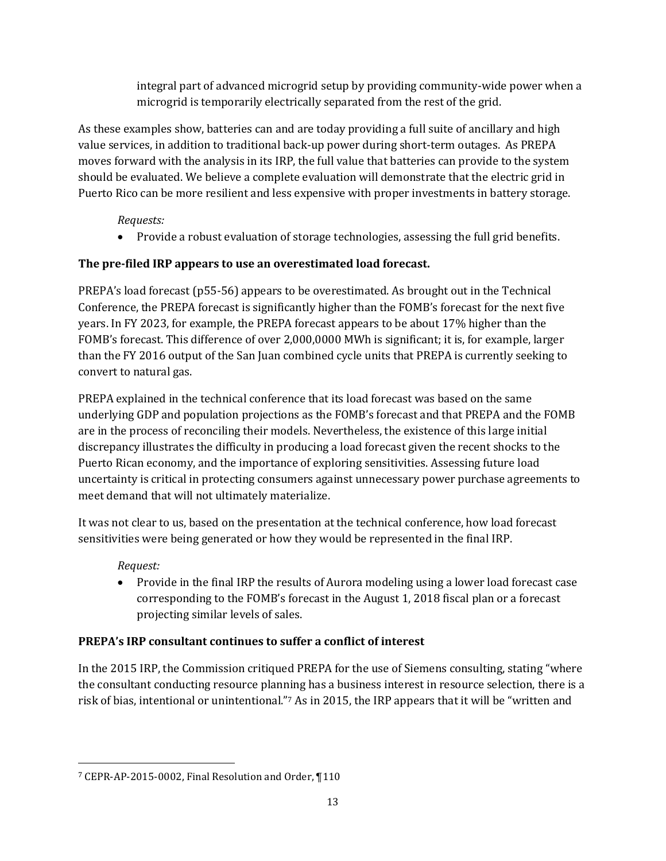integral part of advanced microgrid setup by providing community-wide power when a microgrid is temporarily electrically separated from the rest of the grid.

As these examples show, batteries can and are today providing a full suite of ancillary and high value services, in addition to traditional back-up power during short-term outages. As PREPA moves forward with the analysis in its IRP, the full value that batteries can provide to the system should be evaluated. We believe a complete evaluation will demonstrate that the electric grid in Puerto Rico can be more resilient and less expensive with proper investments in battery storage.

# *Requests:*

• Provide a robust evaluation of storage technologies, assessing the full grid benefits.

# **The pre-filed IRP appears to use an overestimated load forecast.**

PREPA's load forecast (p55-56) appears to be overestimated. As brought out in the Technical Conference, the PREPA forecast is significantly higher than the FOMB's forecast for the next five years. In FY 2023, for example, the PREPA forecast appears to be about 17% higher than the FOMB's forecast. This difference of over 2,000,0000 MWh is significant; it is, for example, larger than the FY 2016 output of the San Juan combined cycle units that PREPA is currently seeking to convert to natural gas.

PREPA explained in the technical conference that its load forecast was based on the same underlying GDP and population projections as the FOMB's forecast and that PREPA and the FOMB are in the process of reconciling their models. Nevertheless, the existence of this large initial discrepancy illustrates the difficulty in producing a load forecast given the recent shocks to the Puerto Rican economy, and the importance of exploring sensitivities. Assessing future load uncertainty is critical in protecting consumers against unnecessary power purchase agreements to meet demand that will not ultimately materialize.

It was not clear to us, based on the presentation at the technical conference, how load forecast sensitivities were being generated or how they would be represented in the final IRP.

# *Request:*

• Provide in the final IRP the results of Aurora modeling using a lower load forecast case corresponding to the FOMB's forecast in the August 1, 2018 fiscal plan or a forecast projecting similar levels of sales.

# **PREPA's IRP consultant continues to suffer a conflict of interest**

In the 2015 IRP, the Commission critiqued PREPA for the use of Siemens consulting, stating "where the consultant conducting resource planning has a business interest in resource selection, there is a risk of bias, intentional or unintentional."<sup>7</sup> As in 2015, the IRP appears that it will be "written and

<sup>7</sup> CEPR-AP-2015-0002, Final Resolution and Order, ¶110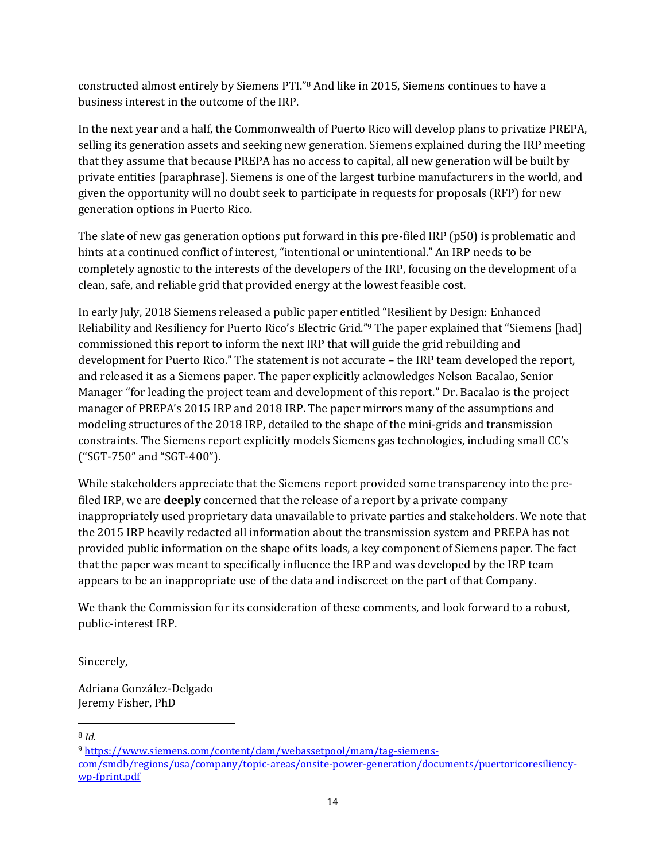constructed almost entirely by Siemens PTI."<sup>8</sup> And like in 2015, Siemens continues to have a business interest in the outcome of the IRP.

In the next year and a half, the Commonwealth of Puerto Rico will develop plans to privatize PREPA, selling its generation assets and seeking new generation. Siemens explained during the IRP meeting that they assume that because PREPA has no access to capital, all new generation will be built by private entities [paraphrase]. Siemens is one of the largest turbine manufacturers in the world, and given the opportunity will no doubt seek to participate in requests for proposals (RFP) for new generation options in Puerto Rico.

The slate of new gas generation options put forward in this pre-filed IRP (p50) is problematic and hints at a continued conflict of interest, "intentional or unintentional." An IRP needs to be completely agnostic to the interests of the developers of the IRP, focusing on the development of a clean, safe, and reliable grid that provided energy at the lowest feasible cost.

In early July, 2018 Siemens released a public paper entitled "Resilient by Design: Enhanced Reliability and Resiliency for Puerto Rico's Electric Grid."<sup>9</sup> The paper explained that "Siemens [had] commissioned this report to inform the next IRP that will guide the grid rebuilding and development for Puerto Rico." The statement is not accurate – the IRP team developed the report, and released it as a Siemens paper. The paper explicitly acknowledges Nelson Bacalao, Senior Manager "for leading the project team and development of this report." Dr. Bacalao is the project manager of PREPA's 2015 IRP and 2018 IRP. The paper mirrors many of the assumptions and modeling structures of the 2018 IRP, detailed to the shape of the mini-grids and transmission constraints. The Siemens report explicitly models Siemens gas technologies, including small CC's ("SGT-750" and "SGT-400").

While stakeholders appreciate that the Siemens report provided some transparency into the prefiled IRP, we are **deeply** concerned that the release of a report by a private company inappropriately used proprietary data unavailable to private parties and stakeholders. We note that the 2015 IRP heavily redacted all information about the transmission system and PREPA has not provided public information on the shape of its loads, a key component of Siemens paper. The fact that the paper was meant to specifically influence the IRP and was developed by the IRP team appears to be an inappropriate use of the data and indiscreet on the part of that Company.

We thank the Commission for its consideration of these comments, and look forward to a robust, public-interest IRP.

Sincerely,

Adriana González-Delgado Jeremy Fisher, PhD

 <sup>8</sup> *Id.*

<sup>9</sup> [https://www.siemens.com/content/dam/webassetpool/mam/tag-siemens](https://www.siemens.com/content/dam/webassetpool/mam/tag-siemens-com/smdb/regions/usa/company/topic-areas/onsite-power-generation/documents/puertoricoresiliency-wp-fprint.pdf)[com/smdb/regions/usa/company/topic-areas/onsite-power-generation/documents/puertoricoresiliency](https://www.siemens.com/content/dam/webassetpool/mam/tag-siemens-com/smdb/regions/usa/company/topic-areas/onsite-power-generation/documents/puertoricoresiliency-wp-fprint.pdf)[wp-fprint.pdf](https://www.siemens.com/content/dam/webassetpool/mam/tag-siemens-com/smdb/regions/usa/company/topic-areas/onsite-power-generation/documents/puertoricoresiliency-wp-fprint.pdf)